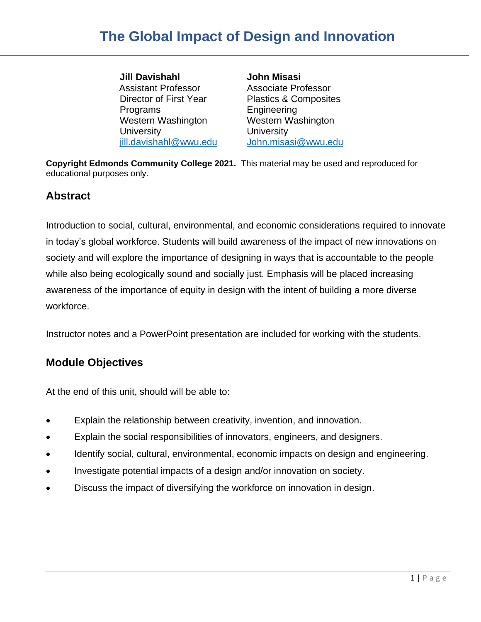**Jill Davishahl** Assistant Professor Director of First Year Programs Western Washington **University** [jill.davishahl@wwu.edu](mailto:jill.davishahl@wwu.edu) **John Misasi** Associate Professor Plastics & Composites Engineering Western Washington **University** [John.misasi@wwu.edu](mailto:John.misasi@wwu.edu)

**Copyright Edmonds Community College 2021.** This material may be used and reproduced for educational purposes only.

### **Abstract**

Introduction to social, cultural, environmental, and economic considerations required to innovate in today's global workforce. Students will build awareness of the impact of new innovations on society and will explore the importance of designing in ways that is accountable to the people while also being ecologically sound and socially just. Emphasis will be placed increasing awareness of the importance of equity in design with the intent of building a more diverse workforce.

Instructor notes and a PowerPoint presentation are included for working with the students.

## **Module Objectives**

At the end of this unit, should will be able to:

- Explain the relationship between creativity, invention, and innovation.
- Explain the social responsibilities of innovators, engineers, and designers.
- Identify social, cultural, environmental, economic impacts on design and engineering.
- Investigate potential impacts of a design and/or innovation on society.
- Discuss the impact of diversifying the workforce on innovation in design.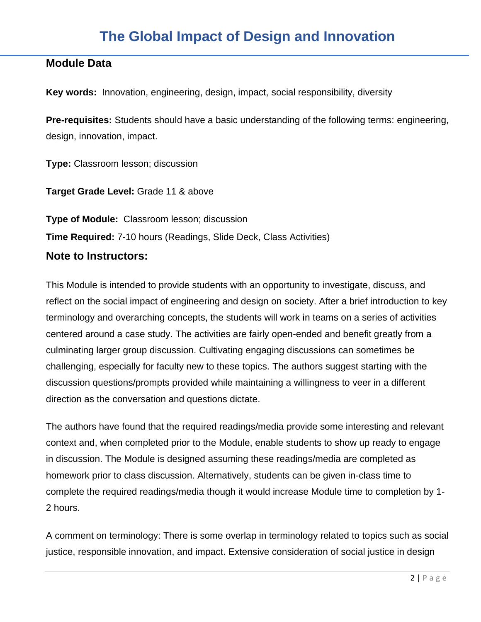### **Module Data**

**Key words:** Innovation, engineering, design, impact, social responsibility, diversity

**Pre-requisites:** Students should have a basic understanding of the following terms: engineering, design, innovation, impact.

**Type:** Classroom lesson; discussion

**Target Grade Level:** Grade 11 & above

**Type of Module:** Classroom lesson; discussion **Time Required:** 7-10 hours (Readings, Slide Deck, Class Activities)

### **Note to Instructors:**

This Module is intended to provide students with an opportunity to investigate, discuss, and reflect on the social impact of engineering and design on society. After a brief introduction to key terminology and overarching concepts, the students will work in teams on a series of activities centered around a case study. The activities are fairly open-ended and benefit greatly from a culminating larger group discussion. Cultivating engaging discussions can sometimes be challenging, especially for faculty new to these topics. The authors suggest starting with the discussion questions/prompts provided while maintaining a willingness to veer in a different direction as the conversation and questions dictate.

The authors have found that the required readings/media provide some interesting and relevant context and, when completed prior to the Module, enable students to show up ready to engage in discussion. The Module is designed assuming these readings/media are completed as homework prior to class discussion. Alternatively, students can be given in-class time to complete the required readings/media though it would increase Module time to completion by 1- 2 hours.

A comment on terminology: There is some overlap in terminology related to topics such as social justice, responsible innovation, and impact. Extensive consideration of social justice in design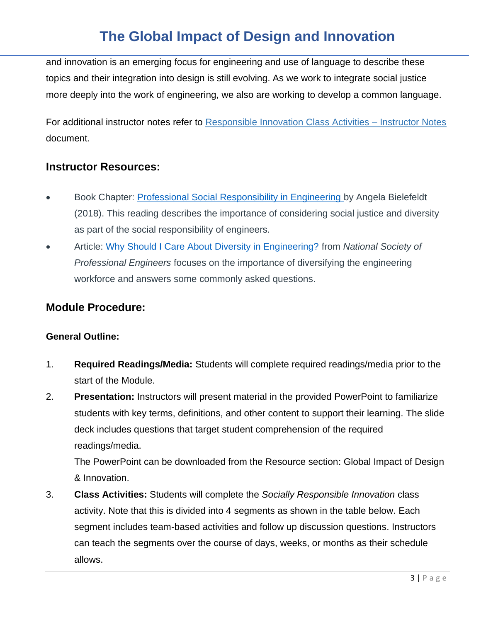and innovation is an emerging focus for engineering and use of language to describe these topics and their integration into design is still evolving. As we work to integrate social justice more deeply into the work of engineering, we also are working to develop a common language.

For additional instructor notes refer to Responsible Innovation Class Activities – Instructor Notes document.

### **Instructor Resources:**

- Book Chapter: [Professional Social Responsibility in Engineering](https://wwu.instructure.com/courses/1413030/files/70080986/download?wrap=1) [b](https://wwu.instructure.com/courses/1413030/files/70080986/download?download_frd=1)y Angela Bielefeldt (2018). This reading describes the importance of considering social justice and diversity as part of the social responsibility of engineers.
- Article: [Why Should I Care About Diversity in Engineering?](https://www.nspe.org/resources/pe-magazine/july-2020/why-should-i-care-about-diversity-engineering) from *National Society of Professional Engineers* focuses on the importance of diversifying the engineering workforce and answers some commonly asked questions.

### **Module Procedure:**

### **General Outline:**

- 1. **Required Readings/Media:** Students will complete required readings/media prior to the start of the Module.
- 2. **Presentation:** Instructors will present material in the provided PowerPoint to familiarize students with key terms, definitions, and other content to support their learning. The slide deck includes questions that target student comprehension of the required readings/media.

The PowerPoint can be downloaded from the Resource section: Global Impact of Design & Innovation.

3. **Class Activities:** Students will complete the *Socially Responsible Innovation* class activity. Note that this is divided into 4 segments as shown in the table below. Each segment includes team-based activities and follow up discussion questions. Instructors can teach the segments over the course of days, weeks, or months as their schedule allows.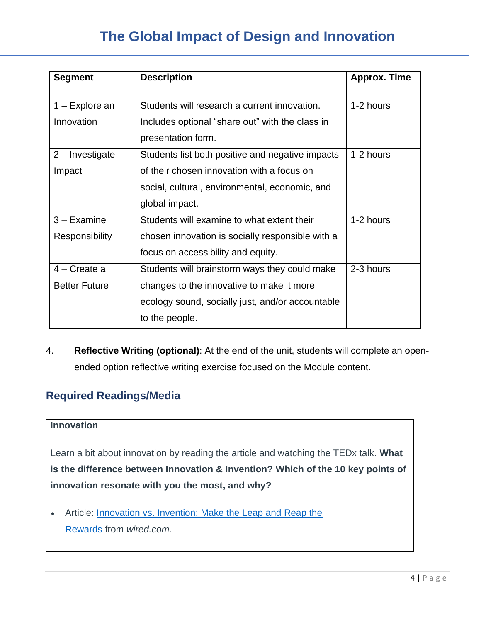| <b>Segment</b>       | <b>Description</b>                               | <b>Approx. Time</b> |
|----------------------|--------------------------------------------------|---------------------|
|                      |                                                  |                     |
| $1 -$ Explore an     | Students will research a current innovation.     | 1-2 hours           |
| Innovation           | Includes optional "share out" with the class in  |                     |
|                      | presentation form.                               |                     |
| $2$ – Investigate    | Students list both positive and negative impacts | 1-2 hours           |
| Impact               | of their chosen innovation with a focus on       |                     |
|                      | social, cultural, environmental, economic, and   |                     |
|                      | global impact.                                   |                     |
| $3 - Examine$        | Students will examine to what extent their       | 1-2 hours           |
| Responsibility       | chosen innovation is socially responsible with a |                     |
|                      | focus on accessibility and equity.               |                     |
| $4 -$ Create a       | Students will brainstorm ways they could make    | 2-3 hours           |
| <b>Better Future</b> | changes to the innovative to make it more        |                     |
|                      | ecology sound, socially just, and/or accountable |                     |
|                      | to the people.                                   |                     |

4. **Reflective Writing (optional)**: At the end of the unit, students will complete an openended option reflective writing exercise focused on the Module content.

## **Required Readings/Media**

### **Innovation**

Learn a bit about innovation by reading the article and watching the TEDx talk. **What is the difference between Innovation & Invention? Which of the 10 key points of innovation resonate with you the most, and why?**

• Article: **Innovation vs. Invention: Make the Leap and Reap the** [Rewards](https://www.wired.com/insights/2015/01/innovation-vs-invention/#:~:text=Invention%20is%20about%20creating%20something,of%20an%20idea%20or%20method.&text=An%20invention%20is%20usually%20a,change%20in%20behavior%20or%20interactions.) from *wired.com*.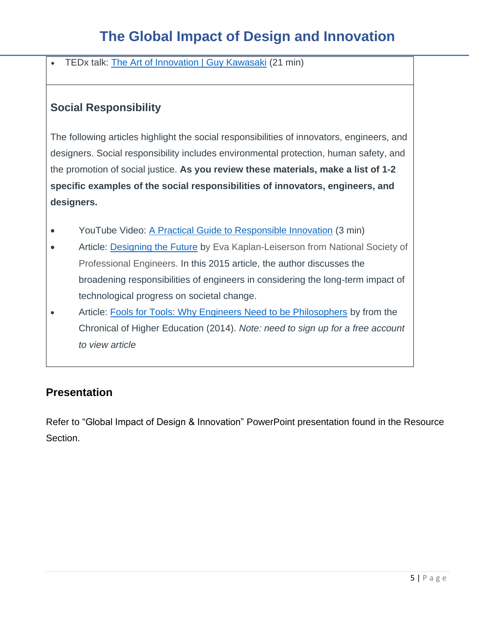• TEDx talk: [The Art of Innovation | Guy Kawasaki](https://www.youtube.com/watch?v=Mtjatz9r-Vc&list=FLNll3gHjPaIh2024_MV2XCg&index=8&t=0s) (21 min)

## **Social Responsibility**

The following articles highlight the social responsibilities of innovators, engineers, and designers. Social responsibility includes environmental protection, human safety, and the promotion of social justice. **As you review these materials, make a list of 1-2 specific examples of the social responsibilities of innovators, engineers, and designers.**

- YouTube Video: [A Practical Guide to Responsible Innovation](https://www.youtube.com/watch?v=qFYG9ZnQjHs) (3 min)
- Article: [Designing the Future](https://www.nspe.org/resources/pe-magazine/may-2015/designing-the-future) by Eva Kaplan-Leiserson from National Society of Professional Engineers. In this 2015 article, the author discusses the broadening responsibilities of engineers in considering the long-term impact of technological progress on societal change.
- Article: [Fools for Tools: Why Engineers Need to be Philosophers](https://www.chronicle.com/article/fools-for-tools/) by from the Chronical of Higher Education (2014). *Note: need to sign up for a free account to view article*

## **Presentation**

Refer to "Global Impact of Design & Innovation" PowerPoint presentation found in the Resource Section.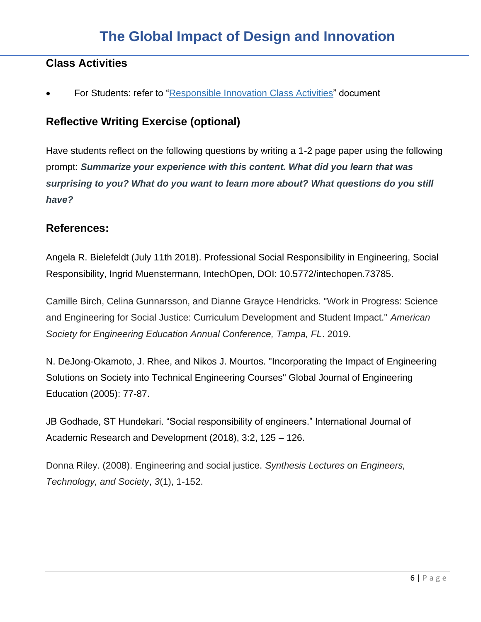## **Class Activities**

For Students: refer to "Responsible Innovation Class Activities" document

## **Reflective Writing Exercise (optional)**

Have students reflect on the following questions by writing a 1-2 page paper using the following prompt: *Summarize your experience with this content. What did you learn that was surprising to you? What do you want to learn more about? What questions do you still have?*

### **References:**

Angela R. Bielefeldt (July 11th 2018). Professional Social Responsibility in Engineering, Social Responsibility, Ingrid Muenstermann, IntechOpen, DOI: 10.5772/intechopen.73785.

Camille Birch, Celina Gunnarsson, and Dianne Grayce Hendricks. "Work in Progress: Science and Engineering for Social Justice: Curriculum Development and Student Impact." *American Society for Engineering Education Annual Conference, Tampa, FL*. 2019.

N. DeJong-Okamoto, J. Rhee, and Nikos J. Mourtos. "Incorporating the Impact of Engineering Solutions on Society into Technical Engineering Courses" Global Journal of Engineering Education (2005): 77-87.

JB Godhade, ST Hundekari. "Social responsibility of engineers." International Journal of Academic Research and Development (2018), 3:2, 125 – 126.

Donna Riley. (2008). Engineering and social justice. *Synthesis Lectures on Engineers, Technology, and Society*, *3*(1), 1-152.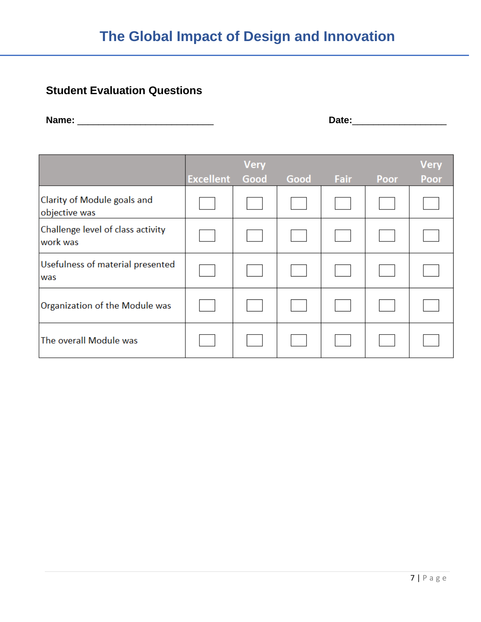# **Student Evaluation Questions**

**Name:** \_\_\_\_\_\_\_\_\_\_\_\_\_\_\_\_\_\_\_\_\_\_\_\_\_\_ **Date:**\_\_\_\_\_\_\_\_\_\_\_\_\_\_\_\_\_\_

|                                               | <b>Excellent</b> | <b>Very</b><br>Good | Good | Fair | Poor | <b>Very</b><br><b>Poor</b> |
|-----------------------------------------------|------------------|---------------------|------|------|------|----------------------------|
| Clarity of Module goals and<br>objective was  |                  |                     |      |      |      |                            |
| Challenge level of class activity<br>work was |                  |                     |      |      |      |                            |
| Usefulness of material presented<br>was       |                  |                     |      |      |      |                            |
| Organization of the Module was                |                  |                     |      |      |      |                            |
| The overall Module was                        |                  |                     |      |      |      |                            |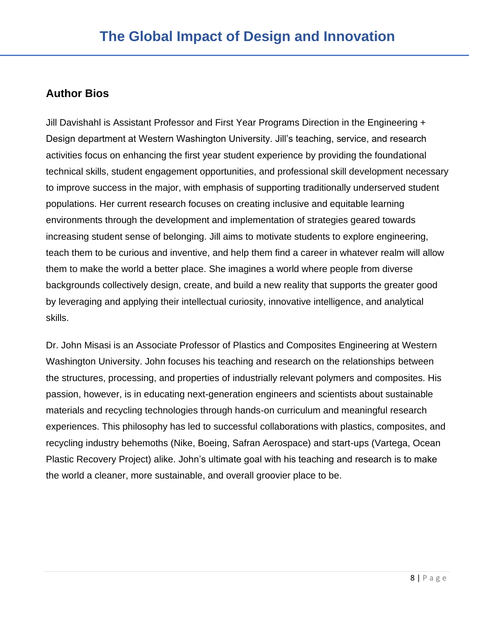## **Author Bios**

Jill Davishahl is Assistant Professor and First Year Programs Direction in the Engineering + Design department at Western Washington University. Jill's teaching, service, and research activities focus on enhancing the first year student experience by providing the foundational technical skills, student engagement opportunities, and professional skill development necessary to improve success in the major, with emphasis of supporting traditionally underserved student populations. Her current research focuses on creating inclusive and equitable learning environments through the development and implementation of strategies geared towards increasing student sense of belonging. Jill aims to motivate students to explore engineering, teach them to be curious and inventive, and help them find a career in whatever realm will allow them to make the world a better place. She imagines a world where people from diverse backgrounds collectively design, create, and build a new reality that supports the greater good by leveraging and applying their intellectual curiosity, innovative intelligence, and analytical skills.

Dr. John Misasi is an Associate Professor of Plastics and Composites Engineering at Western Washington University. John focuses his teaching and research on the relationships between the structures, processing, and properties of industrially relevant polymers and composites. His passion, however, is in educating next-generation engineers and scientists about sustainable materials and recycling technologies through hands-on curriculum and meaningful research experiences. This philosophy has led to successful collaborations with plastics, composites, and recycling industry behemoths (Nike, Boeing, Safran Aerospace) and start-ups (Vartega, Ocean Plastic Recovery Project) alike. John's ultimate goal with his teaching and research is to make the world a cleaner, more sustainable, and overall groovier place to be.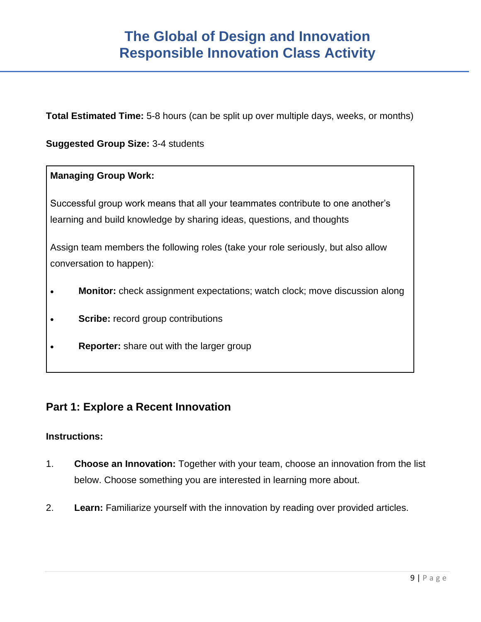**Total Estimated Time:** 5-8 hours (can be split up over multiple days, weeks, or months)

### **Suggested Group Size:** 3-4 students

### **Managing Group Work:**

Successful group work means that all your teammates contribute to one another's learning and build knowledge by sharing ideas, questions, and thoughts

Assign team members the following roles (take your role seriously, but also allow conversation to happen):

- **Monitor:** check assignment expectations; watch clock; move discussion along
- **Scribe:** record group contributions
- **Reporter:** share out with the larger group

### **Part 1: Explore a Recent Innovation**

#### **Instructions:**

- 1. **Choose an Innovation:** Together with your team, choose an innovation from the list below. Choose something you are interested in learning more about.
- 2. **Learn:** Familiarize yourself with the innovation by reading over provided articles.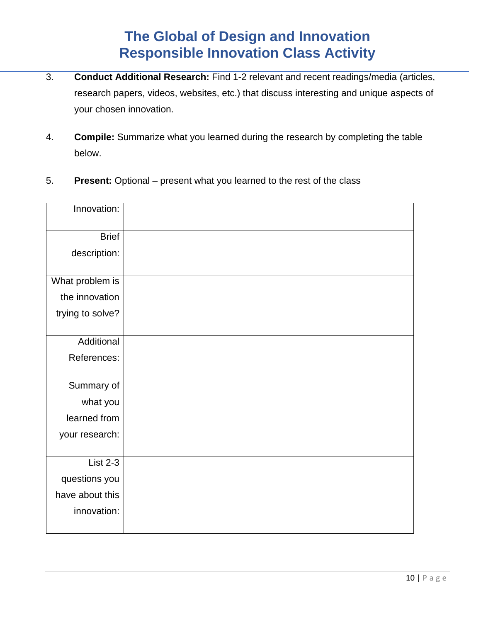- 3. **Conduct Additional Research:** Find 1-2 relevant and recent readings/media (articles, research papers, videos, websites, etc.) that discuss interesting and unique aspects of your chosen innovation.
- 4. **Compile:** Summarize what you learned during the research by completing the table below.
- 5. **Present:** Optional present what you learned to the rest of the class

| Innovation:      |  |
|------------------|--|
|                  |  |
| <b>Brief</b>     |  |
| description:     |  |
|                  |  |
| What problem is  |  |
| the innovation   |  |
| trying to solve? |  |
|                  |  |
| Additional       |  |
| References:      |  |
|                  |  |
| Summary of       |  |
| what you         |  |
| learned from     |  |
| your research:   |  |
|                  |  |
| <b>List 2-3</b>  |  |
| questions you    |  |
| have about this  |  |
| innovation:      |  |
|                  |  |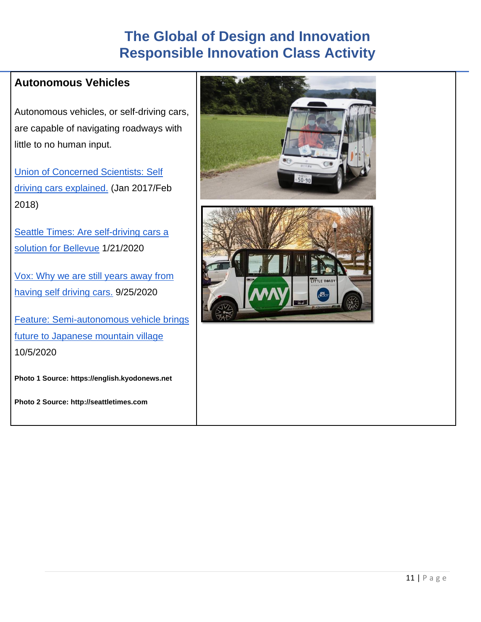## **Autonomous Vehicles**

Autonomous vehicles, or self-driving cars, are capable of navigating roadways with little to no human input.

[Union of Concerned Scientists: Self](https://www.ucsusa.org/resources/self-driving-cars-101)  [driving cars explained.](https://www.ucsusa.org/resources/self-driving-cars-101) (Jan 2017/Feb 2018)

Seattle Times: Are self-driving cars a [solution for Bellevue](https://www.seattletimes.com/seattle-news/transportation/are-self-driving-cars-a-solution-for-bellevue-an-east-coast-test-shows-their-promise-and-challenges/) 1/21/2020

[Vox: Why we are still years away from](https://www.vox.com/recode/2020/9/25/21456421/why-self-driving-cars-autonomous-still-years-away)  [having self driving cars.](https://www.vox.com/recode/2020/9/25/21456421/why-self-driving-cars-autonomous-still-years-away) 9/25/2020

[Feature: Semi-autonomous vehicle brings](https://english.kyodonews.net/news/2020/10/9ce1eeb5958e-feature-semi-autonomous-vehicle-brings-future-to-japanese-mountain-village.html)  [future to Japanese mountain village](https://english.kyodonews.net/news/2020/10/9ce1eeb5958e-feature-semi-autonomous-vehicle-brings-future-to-japanese-mountain-village.html) 10/5/2020

**Photo 1 Source: https://english.kyodonews.net**

**Photo 2 Source: http://seattletimes.com**



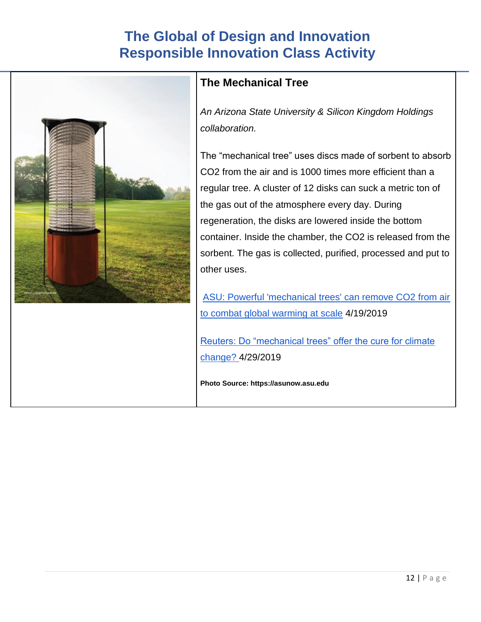

## **The Mechanical Tree**

*An Arizona State University & Silicon Kingdom Holdings collaboration.*

The "mechanical tree" uses discs made of sorbent to absorb CO2 from the air and is 1000 times more efficient than a regular tree. A cluster of 12 disks can suck a metric ton of the gas out of the atmosphere every day. During regeneration, the disks are lowered inside the bottom container. Inside the chamber, the CO2 is released from the sorbent. The gas is collected, purified, processed and put to other uses.

[ASU: Powerful 'mechanical trees' can remove CO2 from air](https://asunow.asu.edu/20190429-solutions-lackner-carbon-capture-technology-moves-commercialization)  [to combat global warming at scale](https://asunow.asu.edu/20190429-solutions-lackner-carbon-capture-technology-moves-commercialization) 4/19/2019

[Reuters: Do "mechanical trees" offer the cure for climate](https://www.reuters.com/article/us-usa-climatechange-carboncapture-idUSKCN1S52CG)  [change? 4](https://www.reuters.com/article/us-usa-climatechange-carboncapture-idUSKCN1S52CG)/29/2019

**Photo Source: https://asunow.asu.edu**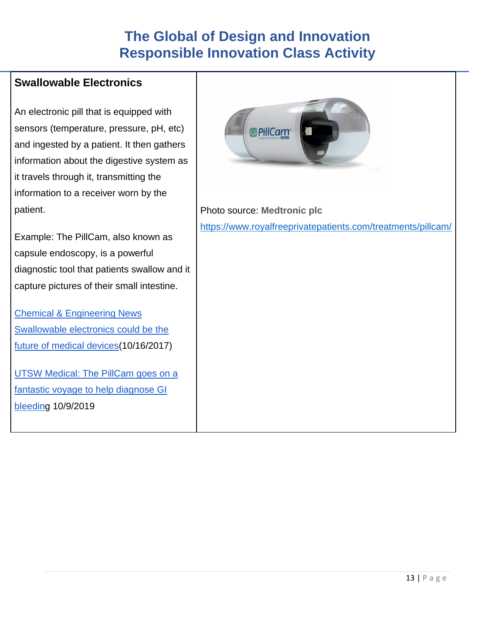## **Swallowable Electronics**

An electronic pill that is equipped with sensors (temperature, pressure, pH, etc) and ingested by a patient. It then gathers information about the digestive system as it travels through it, transmitting the information to a receiver worn by the patient.

Example: The PillCam, also known as capsule endoscopy, is a powerful diagnostic tool that patients swallow and it capture pictures of their small intestine.

[Chemical & Engineering News](https://cen.acs.org/articles/95/i41/Swallowable-electronics-future-medical-devices.html)  [Swallowable electronics could be the](https://cen.acs.org/articles/95/i41/Swallowable-electronics-future-medical-devices.html)  [future of medical devices\(](https://cen.acs.org/articles/95/i41/Swallowable-electronics-future-medical-devices.html)10/16/2017)

[UTSW Medical: The PillCam goes on a](https://utswmed.org/medblog/pillcam-gets-close-and-intestinal-spot-gi-bleeding/)  [fantastic voyage to help diagnose GI](https://utswmed.org/medblog/pillcam-gets-close-and-intestinal-spot-gi-bleeding/)  [bleeding](https://utswmed.org/medblog/pillcam-gets-close-and-intestinal-spot-gi-bleeding/) 10/9/2019



Photo source: **Medtronic plc**  <https://www.royalfreeprivatepatients.com/treatments/pillcam/>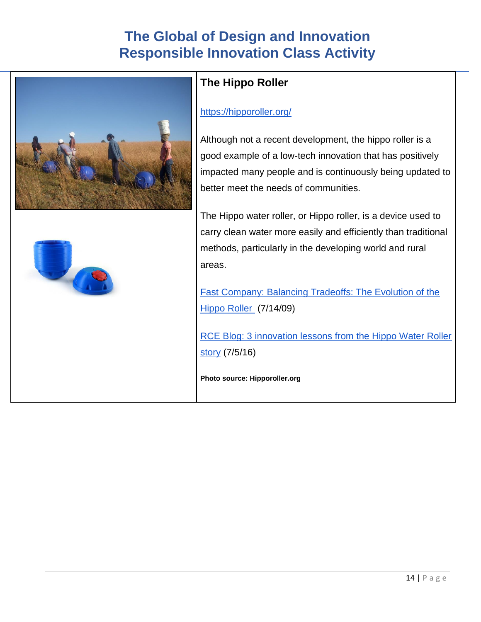



# **The Hippo Roller**

### <https://hipporoller.org/>

Although not a recent development, the hippo roller is a good example of a low-tech innovation that has positively impacted many people and is continuously being updated to better meet the needs of communities.

The Hippo water roller, or Hippo roller, is a device used to carry clean water more easily and efficiently than traditional methods, particularly in the developing world and rural areas.

[Fast Company: Balancing Tradeoffs: The Evolution of the](https://www.fastcompany.com/1309505/balancing-tradeoffs-evolution-hippo-roller)  [Hippo Roller](https://www.fastcompany.com/1309505/balancing-tradeoffs-evolution-hippo-roller) (7/14/09)

[RCE Blog: 3 innovation lessons from the Hippo Water Roller](https://www.retailcustomerexperience.com/blogs/3-innovation-lessons-from-the-hippo-water-roller-story/)  [story](https://www.retailcustomerexperience.com/blogs/3-innovation-lessons-from-the-hippo-water-roller-story/) (7/5/16)

**Photo source: Hipporoller.org**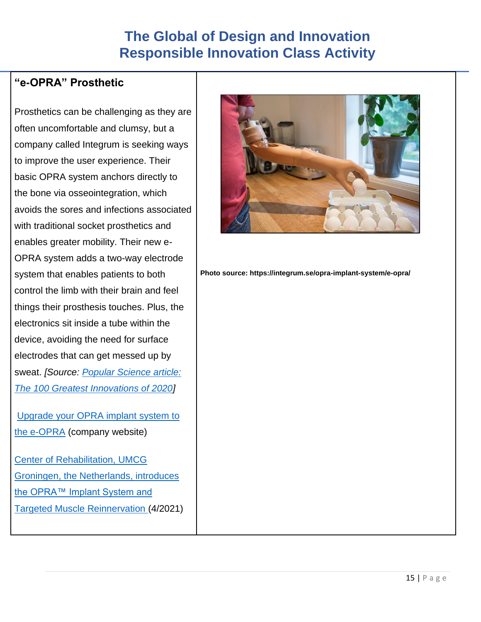## **"e-OPRA" Prosthetic**

Prosthetics can be challenging as they are often uncomfortable and clumsy, but a company called Integrum is seeking ways to improve the user experience. Their basic OPRA system anchors directly to the bone via osseointegration, which avoids the sores and infections associated with traditional socket prosthetics and enables greater mobility. Their new e-OPRA system adds a two-way electrode system that enables patients to both control the limb with their brain and feel things their prosthesis touches. Plus, the electronics sit inside a tube within the device, avoiding the need for surface electrodes that can get messed up by sweat. *[Source: [Popular Science article:](https://innovation.mit.edu/news-article/popular-science-the-100-greatest-innovations-of-2020/)  [The 100 Greatest Innovations of 2020\]](https://innovation.mit.edu/news-article/popular-science-the-100-greatest-innovations-of-2020/)*

[Upgrade](https://integrum.se/opra-implant-system/e-opra/) your OPRA implant system to the [e-OPRA](https://integrum.se/opra-implant-system/e-opra/) (company website)

[Center of Rehabilitation, UMCG](https://integrum.se/press-release/?r=061CFF785CA9BD20&i=9)  [Groningen, the Netherlands, introduces](https://integrum.se/press-release/?r=061CFF785CA9BD20&i=9)  [the OPRA™ Implant System and](https://integrum.se/press-release/?r=061CFF785CA9BD20&i=9)  [Targeted Muscle Reinnervation \(](https://integrum.se/press-release/?r=061CFF785CA9BD20&i=9)4/2021)



**Photo source: https://integrum.se/opra-implant-system/e-opra/**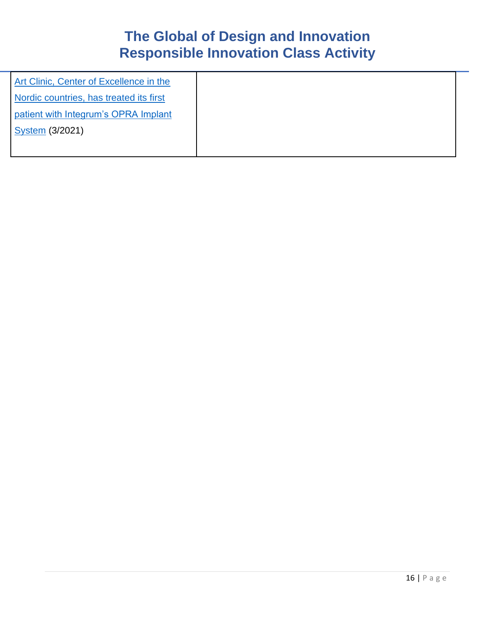| Art Clinic, Center of Excellence in the |  |
|-----------------------------------------|--|
| Nordic countries, has treated its first |  |
| patient with Integrum's OPRA Implant    |  |
| System (3/2021)                         |  |
|                                         |  |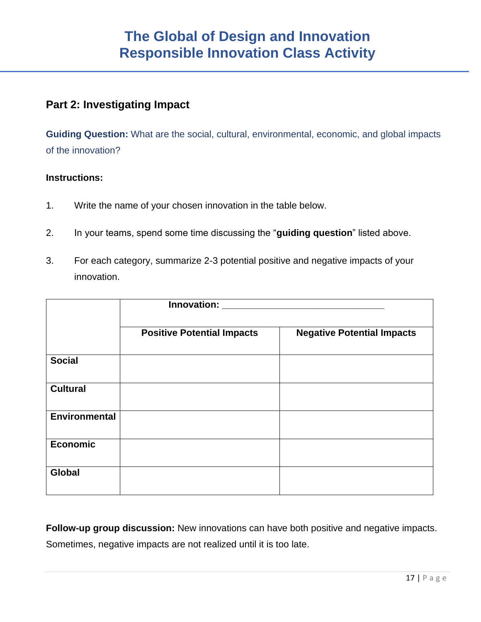## **Part 2: Investigating Impact**

**Guiding Question:** What are the social, cultural, environmental, economic, and global impacts of the innovation?

### **Instructions:**

- 1. Write the name of your chosen innovation in the table below.
- 2. In your teams, spend some time discussing the "**guiding question**" listed above.
- 3. For each category, summarize 2-3 potential positive and negative impacts of your innovation.

|                      | <b>Innovation:</b>                |                                   |
|----------------------|-----------------------------------|-----------------------------------|
|                      |                                   |                                   |
|                      | <b>Positive Potential Impacts</b> | <b>Negative Potential Impacts</b> |
| <b>Social</b>        |                                   |                                   |
| <b>Cultural</b>      |                                   |                                   |
| <b>Environmental</b> |                                   |                                   |
| <b>Economic</b>      |                                   |                                   |
| <b>Global</b>        |                                   |                                   |

**Follow-up group discussion:** New innovations can have both positive and negative impacts. Sometimes, negative impacts are not realized until it is too late.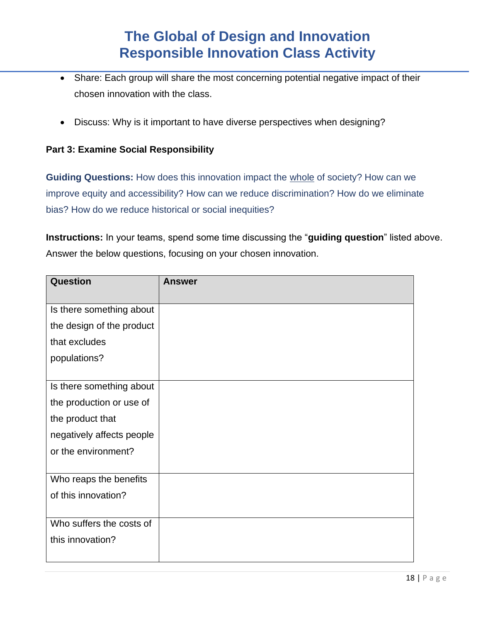- Share: Each group will share the most concerning potential negative impact of their chosen innovation with the class.
- Discuss: Why is it important to have diverse perspectives when designing?

### **Part 3: Examine Social Responsibility**

**Guiding Questions:** How does this innovation impact the whole of society? How can we improve equity and accessibility? How can we reduce discrimination? How do we eliminate bias? How do we reduce historical or social inequities?

**Instructions:** In your teams, spend some time discussing the "**guiding question**" listed above. Answer the below questions, focusing on your chosen innovation.

| <b>Question</b>           | <b>Answer</b> |
|---------------------------|---------------|
|                           |               |
| Is there something about  |               |
| the design of the product |               |
| that excludes             |               |
| populations?              |               |
|                           |               |
| Is there something about  |               |
| the production or use of  |               |
| the product that          |               |
| negatively affects people |               |
| or the environment?       |               |
|                           |               |
| Who reaps the benefits    |               |
| of this innovation?       |               |
|                           |               |
| Who suffers the costs of  |               |
| this innovation?          |               |
|                           |               |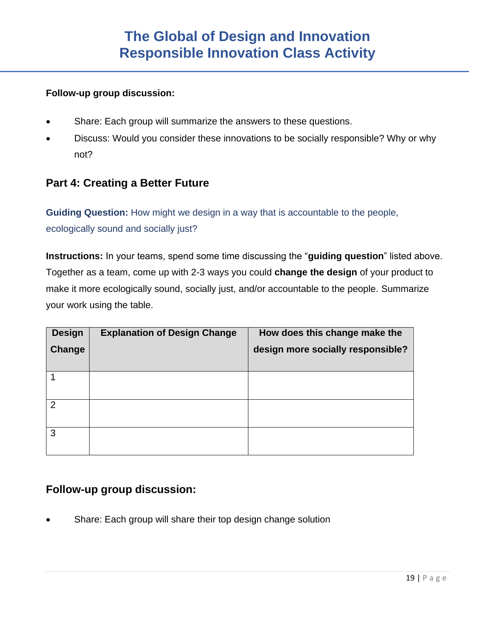### **Follow-up group discussion:**

- Share: Each group will summarize the answers to these questions.
- Discuss: Would you consider these innovations to be socially responsible? Why or why not?

### **Part 4: Creating a Better Future**

**Guiding Question:** How might we design in a way that is accountable to the people, ecologically sound and socially just?

**Instructions:** In your teams, spend some time discussing the "**guiding question**" listed above. Together as a team, come up with 2-3 ways you could **change the design** of your product to make it more ecologically sound, socially just, and/or accountable to the people. Summarize your work using the table.

| <b>Design</b> | <b>Explanation of Design Change</b> | How does this change make the     |
|---------------|-------------------------------------|-----------------------------------|
| Change        |                                     | design more socially responsible? |
|               |                                     |                                   |
|               |                                     |                                   |
|               |                                     |                                   |
| $\mathcal{P}$ |                                     |                                   |
|               |                                     |                                   |
| 3             |                                     |                                   |
|               |                                     |                                   |

## **Follow-up group discussion:**

Share: Each group will share their top design change solution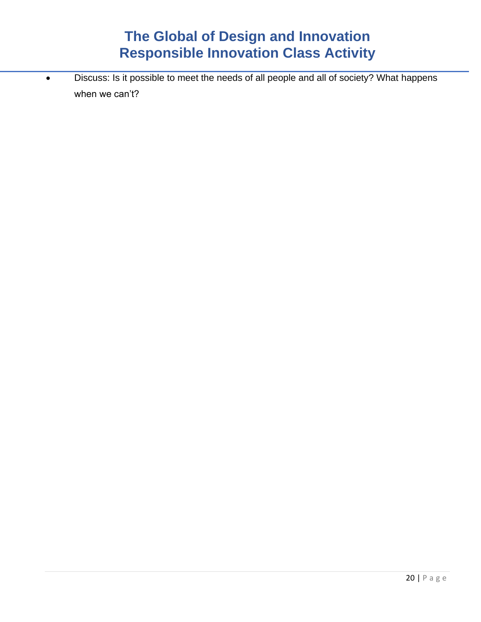• Discuss: Is it possible to meet the needs of all people and all of society? What happens when we can't?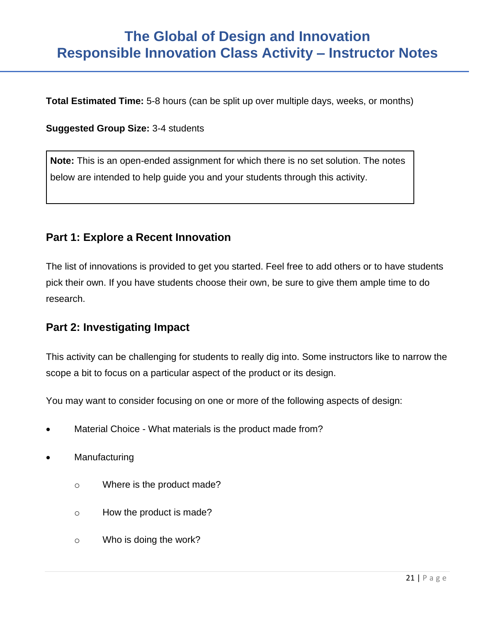# **The Global of Design and Innovation Responsible Innovation Class Activity – Instructor Notes**

**Total Estimated Time:** 5-8 hours (can be split up over multiple days, weeks, or months)

#### **Suggested Group Size:** 3-4 students

**Note:** This is an open-ended assignment for which there is no set solution. The notes below are intended to help guide you and your students through this activity.

### **Part 1: Explore a Recent Innovation**

The list of innovations is provided to get you started. Feel free to add others or to have students pick their own. If you have students choose their own, be sure to give them ample time to do research.

### **Part 2: Investigating Impact**

This activity can be challenging for students to really dig into. Some instructors like to narrow the scope a bit to focus on a particular aspect of the product or its design.

You may want to consider focusing on one or more of the following aspects of design:

- Material Choice What materials is the product made from?
- **Manufacturing** 
	- o Where is the product made?
	- o How the product is made?
	- o Who is doing the work?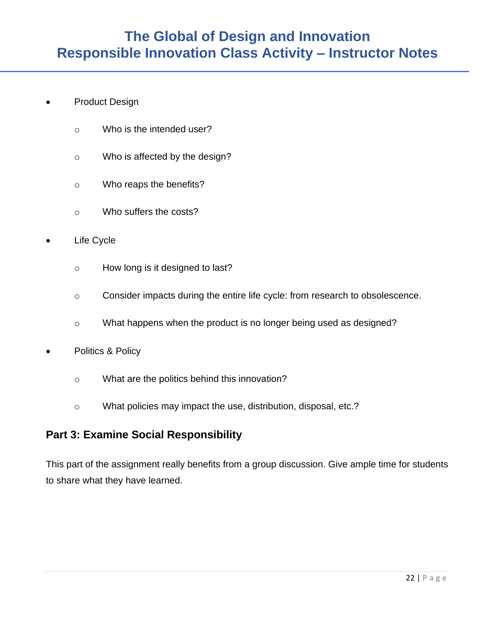- Product Design
	- o Who is the intended user?
	- o Who is affected by the design?
	- o Who reaps the benefits?
	- o Who suffers the costs?
- Life Cycle
	- o How long is it designed to last?
	- o Consider impacts during the entire life cycle: from research to obsolescence.
	- o What happens when the product is no longer being used as designed?
- Politics & Policy
	- o What are the politics behind this innovation?
	- o What policies may impact the use, distribution, disposal, etc.?

## **Part 3: Examine Social Responsibility**

This part of the assignment really benefits from a group discussion. Give ample time for students to share what they have learned.